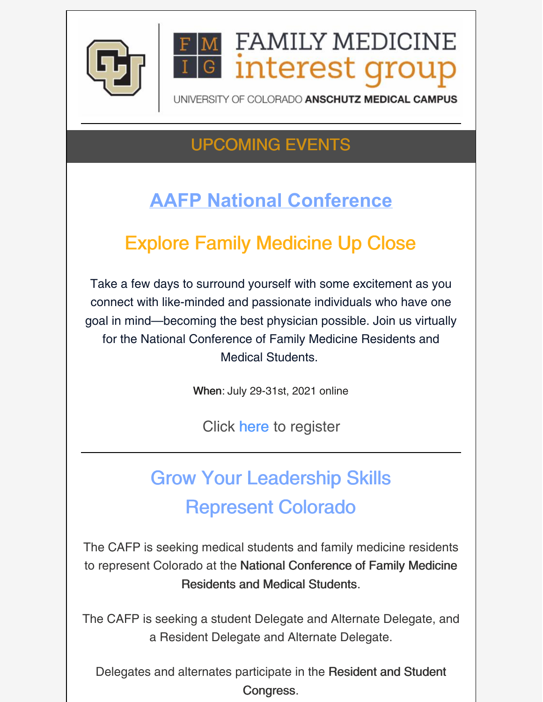

#### **FAMILY MEDICINE Interest grou** G

UNIVERSITY OF COLORADO ANSCHUTZ MEDICAL CAMPUS

## UPCOMING EVENTS

# **AAFP National Conference**

# Explore Family Medicine Up Close

Take a few days to surround yourself with some excitement as you connect with like-minded and passionate individuals who have one goal in mind—becoming the best physician possible. Join us virtually for the National Conference of Family Medicine Residents and Medical Students.

When: July 29-31st, 2021 online

Click [h](https://www.aafp.org/events/national-conference/register.html)[ere](https://www.surveymonkey.com/r/May18CAFMRResFair) to register

# Grow Your Leadership Skills Represent Colorado

The CAFP is seeking medical students and family medicine residents to represent Colorado at the National [Conference](https://app.getresponse.com/click.html?x=a62b&lc=SE7TYz&mc=JJ&s=18002n&u=WbrJ&z=EFkqJCe&) of Family Medicine Residents and Medical Students.

The CAFP is seeking a student Delegate and Alternate Delegate, and a Resident Delegate and Alternate Delegate.

Delegates and alternates participate in the Resident and Student [Congress.](https://app.getresponse.com/click.html?x=a62b&lc=SE7Tuu&mc=JJ&s=18002n&u=WbrJ&z=EV5MtMQ&)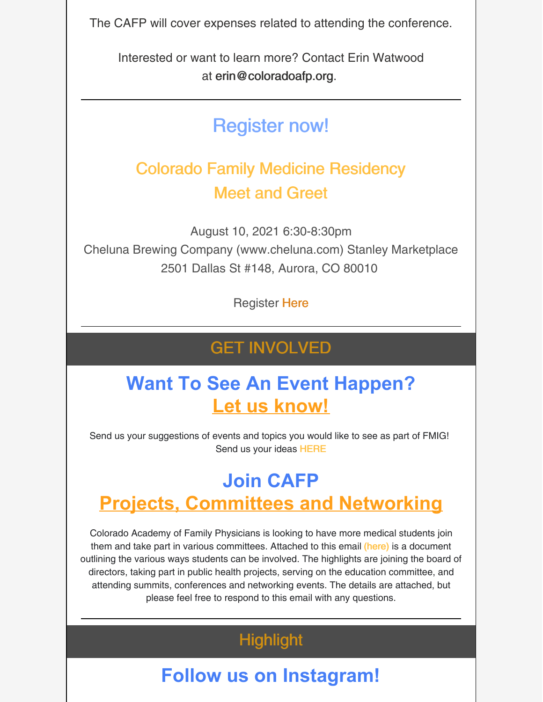The CAFP will cover expenses related to attending the conference.

Interested or want to learn more? Contact Erin Watwood at [erin@coloradoafp.org](mailto:erin@coloradoafp.org).

## Register now!

#### Colorado Family Medicine Residency Meet and Greet

August 10, 2021 6:30-8:30pm Cheluna Brewing Company (www.cheluna.com) Stanley Marketplace 2501 Dallas St #148, Aurora, CO 80010

Register [Here](https://www.surveymonkey.com/r/Aug10COMeetGreet)

#### GET INVOLVED

#### **Want To See An Event Happen? Let us know!**

Send us your suggestions of events and topics you would like to see as part of FMIG! Send us your ideas [HERE](https://forms.gle/6hGn9mDpepsrhQKG9)

## **Join CAFP Projects, Committees and Networking**

Colorado Academy of Family Physicians is looking to have more medical students join them and take part in various committees. Attached to this email [\(here\)](https://files.constantcontact.com/29e4ace2701/83161f45-7b2e-4370-a11c-4547d08ac705.docx?rdr=true) is a document outlining the various ways students can be involved. The highlights are joining the board of directors, taking part in public health projects, serving on the education committee, and attending summits, conferences and networking events. The details are attached, but please feel free to respond to this email with any questions.

#### **Highlight**

## **Follow us on Instagram!**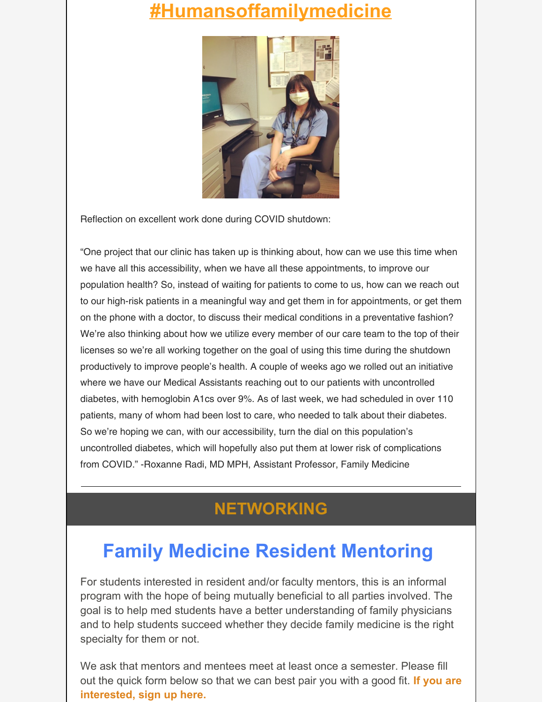#### **[#Humansoffamilymedicine](https://www.instagram.com/humansoffamilymedicine/)**



Reflection on excellent work done during COVID shutdown:

"One project that our clinic has taken up is thinking about, how can we use this time when we have all this accessibility, when we have all these appointments, to improve our population health? So, instead of waiting for patients to come to us, how can we reach out to our high-risk patients in a meaningful way and get them in for appointments, or get them on the phone with a doctor, to discuss their medical conditions in a preventative fashion? We're also thinking about how we utilize every member of our care team to the top of their licenses so we're all working together on the goal of using this time during the shutdown productively to improve people's health. A couple of weeks ago we rolled out an initiative where we have our Medical Assistants reaching out to our patients with uncontrolled diabetes, with hemoglobin A1cs over 9%. As of last week, we had scheduled in over 110 patients, many of whom had been lost to care, who needed to talk about their diabetes. So we're hoping we can, with our accessibility, turn the dial on this population's uncontrolled diabetes, which will hopefully also put them at lower risk of complications from COVID." -Roxanne Radi, MD MPH, Assistant Professor, Family Medicine

#### **NETWORKING**

## **Family Medicine Resident Mentoring**

For students interested in resident and/or faculty mentors, this is an informal program with the hope of being mutually beneficial to all parties involved. The goal is to help med students have a better understanding of family physicians and to help students succeed whether they decide family medicine is the right specialty for them or not.

We ask that mentors and mentees meet at least once a semester. Please fill out the quick form below so that we can best pair you with a good fit. **If you are [interested,](https://docs.google.com/forms/d/e/1FAIpQLSevbHXs2CWwKSZjpZNhmc22hHs9MJwb7s1D5aKo6FyfMQ7nXA/viewform?c=0&w=1) sign up here.**